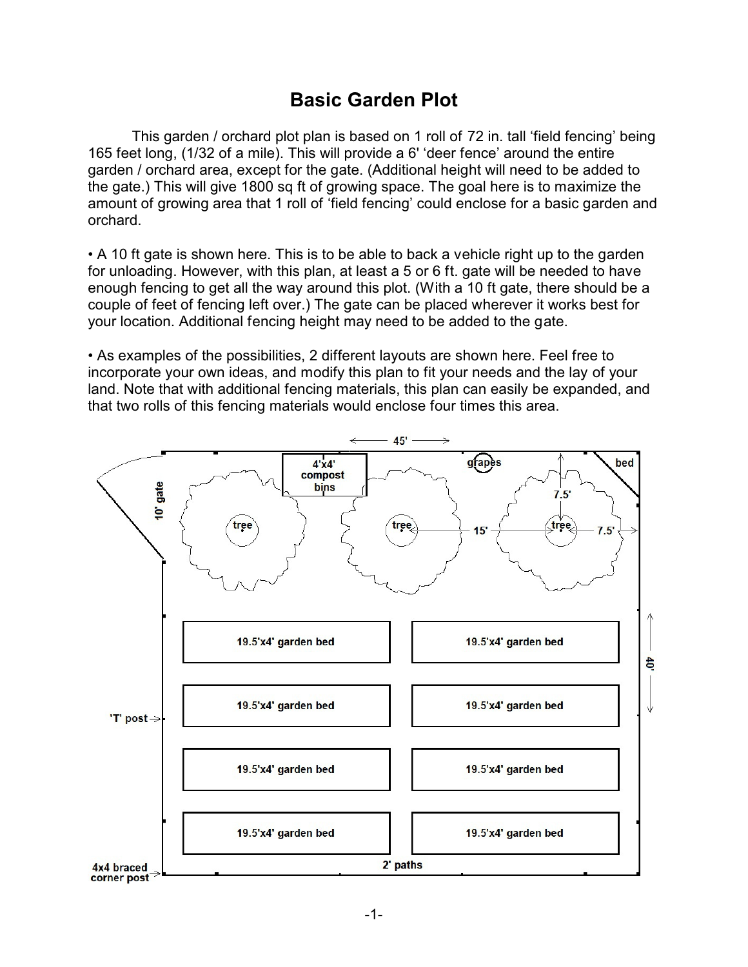## **Basic Garden Plot**

This garden / orchard plot plan is based on 1 roll of 72 in. tall 'field fencing' being 165 feet long, (1/32 of a mile). This will provide a 6' 'deer fence' around the entire garden / orchard area, except for the gate. (Additional height will need to be added to the gate.) This will give 1800 sq ft of growing space. The goal here is to maximize the amount of growing area that 1 roll of 'field fencing' could enclose for a basic garden and orchard.

• A 10 ft gate is shown here. This is to be able to back a vehicle right up to the garden for unloading. However, with this plan, at least a 5 or 6 ft. gate will be needed to have enough fencing to get all the way around this plot. (With a 10 ft gate, there should be a couple of feet of fencing left over.) The gate can be placed wherever it works best for your location. Additional fencing height may need to be added to the gate.

• As examples of the possibilities, 2 different layouts are shown here. Feel free to incorporate your own ideas, and modify this plan to fit your needs and the lay of your land. Note that with additional fencing materials, this plan can easily be expanded, and that two rolls of this fencing materials would enclose four times this area.

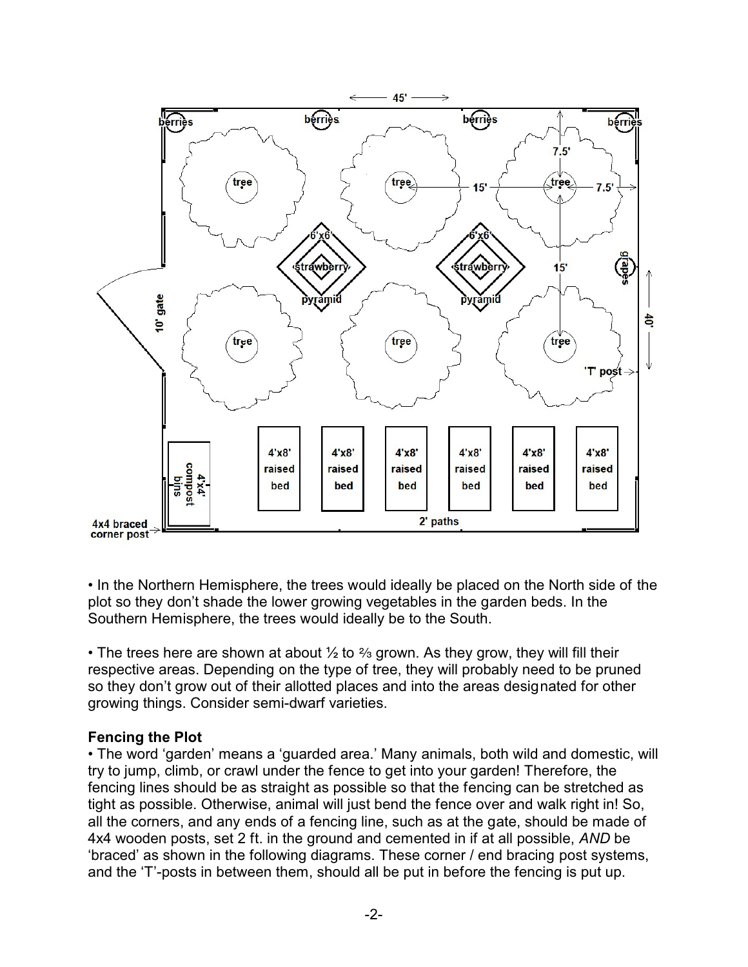

• In the Northern Hemisphere, the trees would ideally be placed on the North side of the plot so they don't shade the lower growing vegetables in the garden beds. In the Southern Hemisphere, the trees would ideally be to the South.

• The trees here are shown at about  $\frac{1}{2}$  to  $\frac{2}{3}$  grown. As they grow, they will fill their respective areas. Depending on the type of tree, they will probably need to be pruned so they don't grow out of their allotted places and into the areas designated for other growing things. Consider semi-dwarf varieties.

## **Fencing the Plot**

• The word 'garden' means a 'guarded area.' Many animals, both wild and domestic, will try to jump, climb, or crawl under the fence to get into your garden! Therefore, the fencing lines should be as straight as possible so that the fencing can be stretched as tight as possible. Otherwise, animal will just bend the fence over and walk right in! So, all the corners, and any ends of a fencing line, such as at the gate, should be made of 4x4 wooden posts, set 2 ft. in the ground and cemented in if at all possible, *AND* be 'braced' as shown in the following diagrams. These corner / end bracing post systems, and the 'T'-posts in between them, should all be put in before the fencing is put up.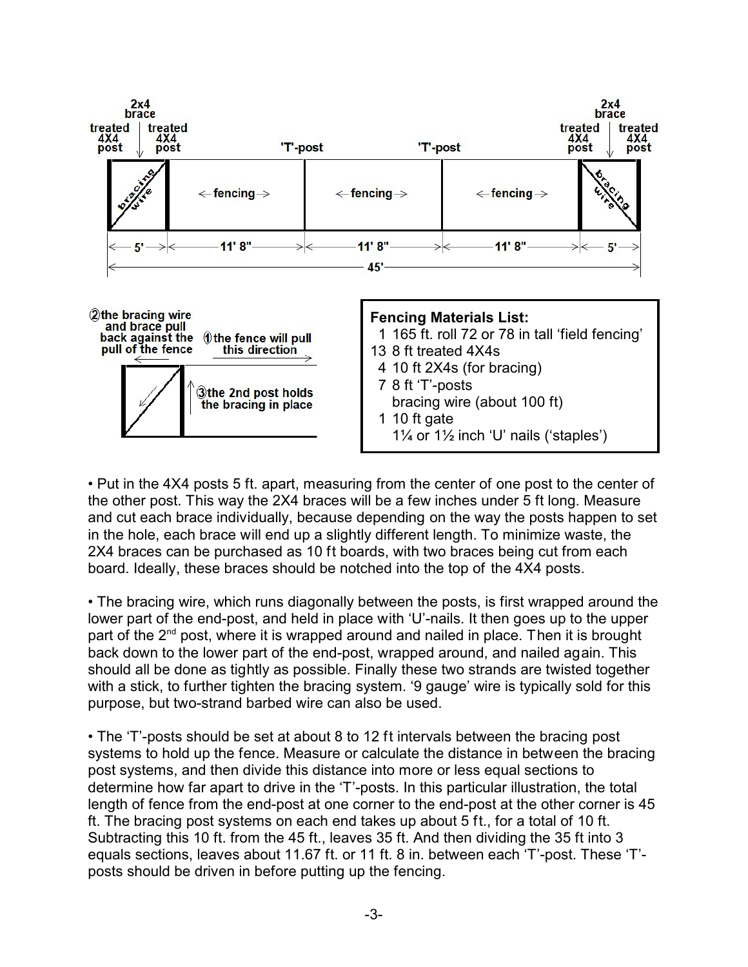

• Put in the 4X4 posts 5 ft. apart, measuring from the center of one post to the center of the other post. This way the 2X4 braces will be a few inches under 5 ft long. Measure and cut each brace individually, because depending on the way the posts happen to set in the hole, each brace will end up a slightly different length. To minimize waste, the 2X4 braces can be purchased as 10 ft boards, with two braces being cut from each board. Ideally, these braces should be notched into the top of the 4X4 posts.

• The bracing wire, which runs diagonally between the posts, is first wrapped around the lower part of the end-post, and held in place with 'U'-nails. It then goes up to the upper part of the 2<sup>nd</sup> post, where it is wrapped around and nailed in place. Then it is brought back down to the lower part of the end-post, wrapped around, and nailed again. This should all be done as tightly as possible. Finally these two strands are twisted together with a stick, to further tighten the bracing system. '9 gauge' wire is typically sold for this purpose, but two-strand barbed wire can also be used.

• The 'T'-posts should be set at about 8 to 12 ft intervals between the bracing post systems to hold up the fence. Measure or calculate the distance in between the bracing post systems, and then divide this distance into more or less equal sections to determine how far apart to drive in the 'T'-posts. In this particular illustration, the total length of fence from the end-post at one corner to the end-post at the other corner is 45 ft. The bracing post systems on each end takes up about 5 ft., for a total of 10 ft. Subtracting this 10 ft. from the 45 ft., leaves 35 ft. And then dividing the 35 ft into 3 equals sections, leaves about 11.67 ft. or 11 ft. 8 in. between each 'T'-post. These 'T' posts should be driven in before putting up the fencing.